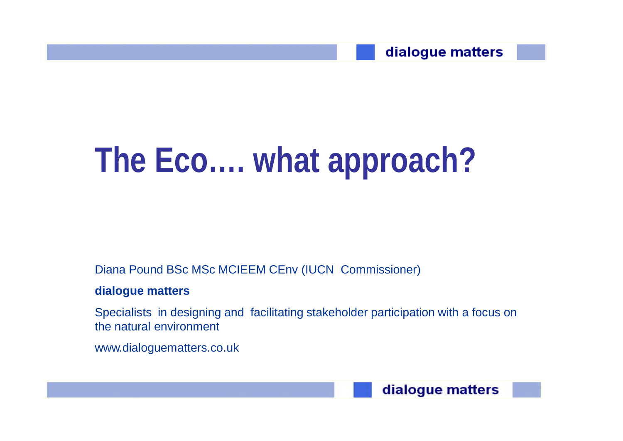

# **The Eco…. what approach?**

Diana Pound BSc MSc MCIEEM CEnv (IUCN Commissioner)

#### **dialogue matters**

Specialists in designing and facilitating stakeholder participation with a focus on the natural environment

www.dialoguematters.co.uk

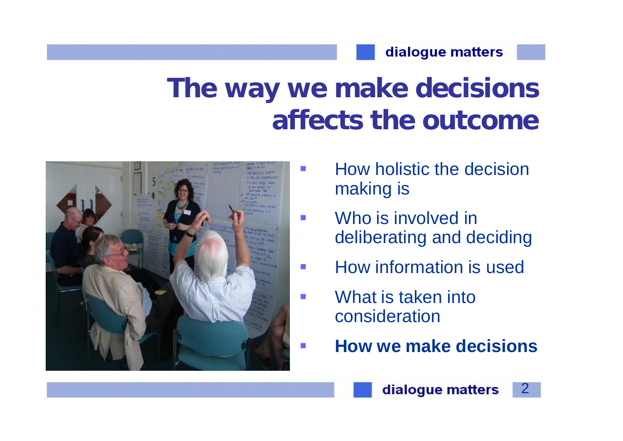#### dialogue matters

## **The way we make decisions affects the outcome**



- **How holistic the decision** making is
- **Who** is involved in deliberating and deciding
- **How information is used**
- **Numerian Structure 19 and 19 and 19 and 19 and 19 and 19 and 19 and 19 and 19 and 19 and 19 and 19 and 19 and 19 and 19 and 19 and 19 and 19 and 19 and 19 and 19 and 19 and 19 and 19 and 19 and 19 and 19 and 19 and 19 and** consideration
- **How we make decisions**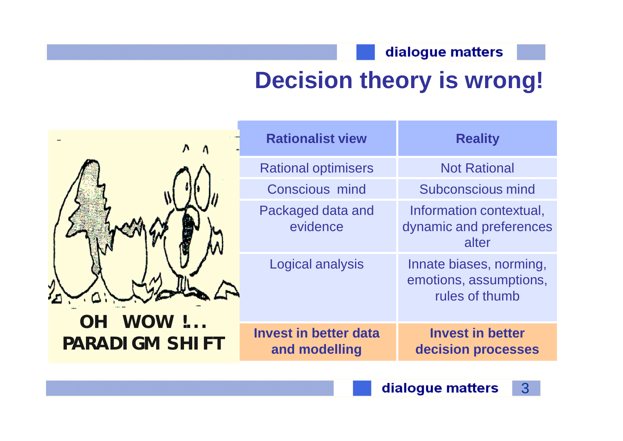#### dialogue matters

## **Decision theory is wrong!**

| $\lambda$<br>WOW !<br><b>OH</b><br><b>PARADIGM SHIFT</b> | <b>Rationalist view</b>                       | <b>Reality</b>                                                      |
|----------------------------------------------------------|-----------------------------------------------|---------------------------------------------------------------------|
|                                                          | <b>Rational optimisers</b>                    | <b>Not Rational</b>                                                 |
|                                                          | <b>Conscious mind</b>                         | <b>Subconscious mind</b>                                            |
|                                                          | Packaged data and<br>evidence                 | Information contextual,<br>dynamic and preferences<br>alter         |
|                                                          | <b>Logical analysis</b>                       | Innate biases, norming,<br>emotions, assumptions,<br>rules of thumb |
|                                                          | <b>Invest in better data</b><br>and modelling | <b>Invest in better</b><br>decision processes                       |
|                                                          |                                               |                                                                     |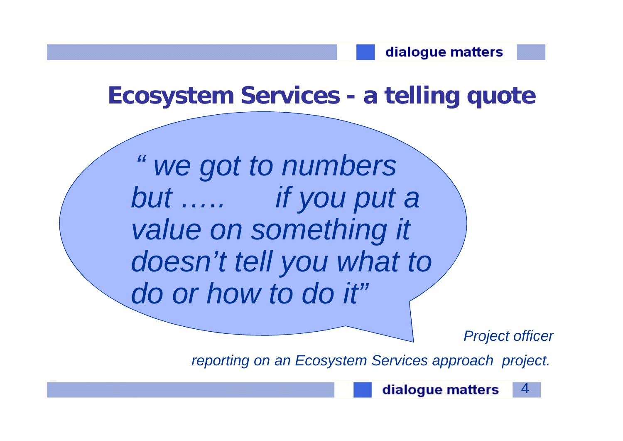**Ecosystem Services - a telling quote** 

*" we got to numbers but ….. if you put a value on something it doesn't tell you what to do or how to do it"*

*Project officer* 

*reporting on an Ecosystem Services approach project.*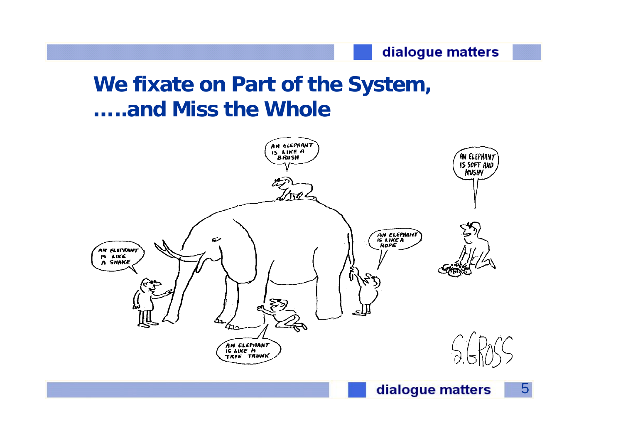#### dialogue matters

### **We fixate on Part of the System, …..and Miss the Whole**

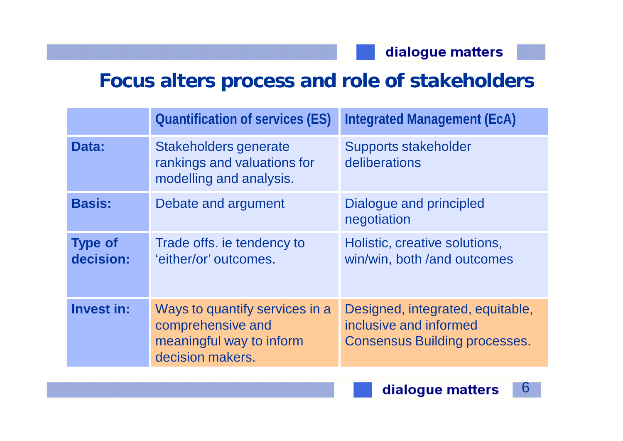### **Focus alters process and role of stakeholders**

|                             | <b>Quantification of services (ES)</b>                                                              | <b>Integrated Management (EcA)</b>                                                                 |
|-----------------------------|-----------------------------------------------------------------------------------------------------|----------------------------------------------------------------------------------------------------|
| Data:                       | Stakeholders generate<br>rankings and valuations for<br>modelling and analysis.                     | <b>Supports stakeholder</b><br>deliberations                                                       |
| <b>Basis:</b>               | Debate and argument                                                                                 | Dialogue and principled<br>negotiation                                                             |
| <b>Type of</b><br>decision: | Trade offs. ie tendency to<br>'either/or' outcomes.                                                 | Holistic, creative solutions,<br>win/win, both /and outcomes                                       |
| Invest in:                  | Ways to quantify services in a<br>comprehensive and<br>meaningful way to inform<br>decision makers. | Designed, integrated, equitable,<br>inclusive and informed<br><b>Consensus Building processes.</b> |